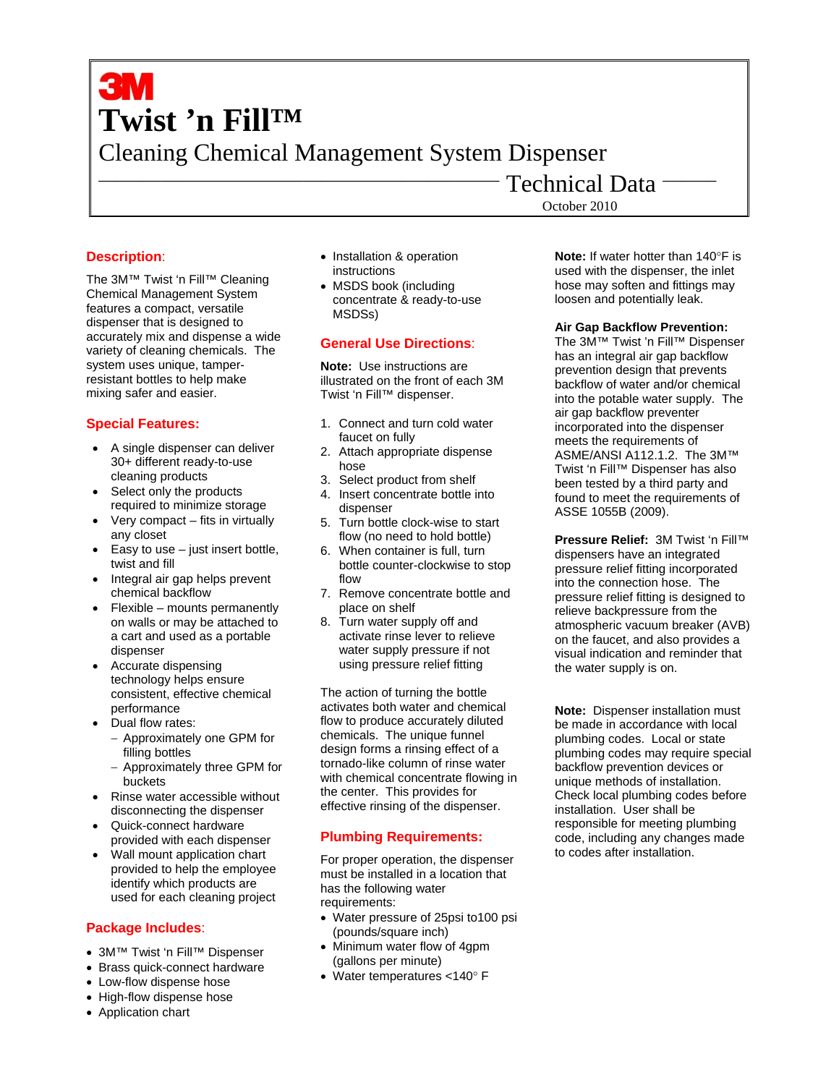# **Twist 'n Fill™**  Cleaning Chemical Management System Dispenser

# **Description**:

The 3M™ Twist 'n Fill™ Cleaning Chemical Management System features a compact, versatile dispenser that is designed to accurately mix and dispense a wide variety of cleaning chemicals. The system uses unique, tamperresistant bottles to help make mixing safer and easier.

# **Special Features:**

- A single dispenser can deliver 30+ different ready-to-use cleaning products
- Select only the products required to minimize storage
- Very compact fits in virtually any closet
- Easy to use  $-$  just insert bottle, twist and fill
- Integral air gap helps prevent chemical backflow
- Flexible mounts permanently on walls or may be attached to a cart and used as a portable dispenser
- Accurate dispensing technology helps ensure consistent, effective chemical performance
- Dual flow rates:
	- − Approximately one GPM for filling bottles
	- − Approximately three GPM for buckets
- Rinse water accessible without disconnecting the dispenser
- Quick-connect hardware provided with each dispenser
- Wall mount application chart provided to help the employee identify which products are used for each cleaning project

# **Package Includes**:

- 3M™ Twist 'n Fill™ Dispenser
- Brass quick-connect hardware
- Low-flow dispense hose
- High-flow dispense hose
- Application chart
- Installation & operation instructions
- MSDS book (including concentrate & ready-to-use MSDSs)

# **General Use Directions**:

**Note:** Use instructions are illustrated on the front of each 3M Twist 'n Fill™ dispenser.

- 1. Connect and turn cold water faucet on fully
- 2. Attach appropriate dispense hose
- 3. Select product from shelf
- 4. Insert concentrate bottle into dispenser
- 5. Turn bottle clock-wise to start flow (no need to hold bottle)
- 6. When container is full, turn bottle counter-clockwise to stop flow
- 7. Remove concentrate bottle and place on shelf
- 8. Turn water supply off and activate rinse lever to relieve water supply pressure if not using pressure relief fitting

The action of turning the bottle activates both water and chemical flow to produce accurately diluted chemicals. The unique funnel design forms a rinsing effect of a tornado-like column of rinse water with chemical concentrate flowing in the center. This provides for effective rinsing of the dispenser.

# **Plumbing Requirements:**

For proper operation, the dispenser must be installed in a location that has the following water requirements:

- Water pressure of 25psi to100 psi (pounds/square inch)
- Minimum water flow of 4gpm (gallons per minute)
- Water temperatures <140° F

October 2010

Technical Data

**Note:** If water hotter than 140°F is used with the dispenser, the inlet hose may soften and fittings may loosen and potentially leak.

## **Air Gap Backflow Prevention:**

The 3M™ Twist 'n Fill™ Dispenser has an integral air gap backflow prevention design that prevents backflow of water and/or chemical into the potable water supply. The air gap backflow preventer incorporated into the dispenser meets the requirements of ASME/ANSI A112.1.2. The 3M™ Twist 'n Fill™ Dispenser has also been tested by a third party and found to meet the requirements of ASSE 1055B (2009).

**Pressure Relief:** 3M Twist 'n Fill™ dispensers have an integrated pressure relief fitting incorporated into the connection hose. The pressure relief fitting is designed to relieve backpressure from the atmospheric vacuum breaker (AVB) on the faucet, and also provides a visual indication and reminder that the water supply is on.

**Note:** Dispenser installation must be made in accordance with local plumbing codes. Local or state plumbing codes may require special backflow prevention devices or unique methods of installation. Check local plumbing codes before installation. User shall be responsible for meeting plumbing code, including any changes made to codes after installation.